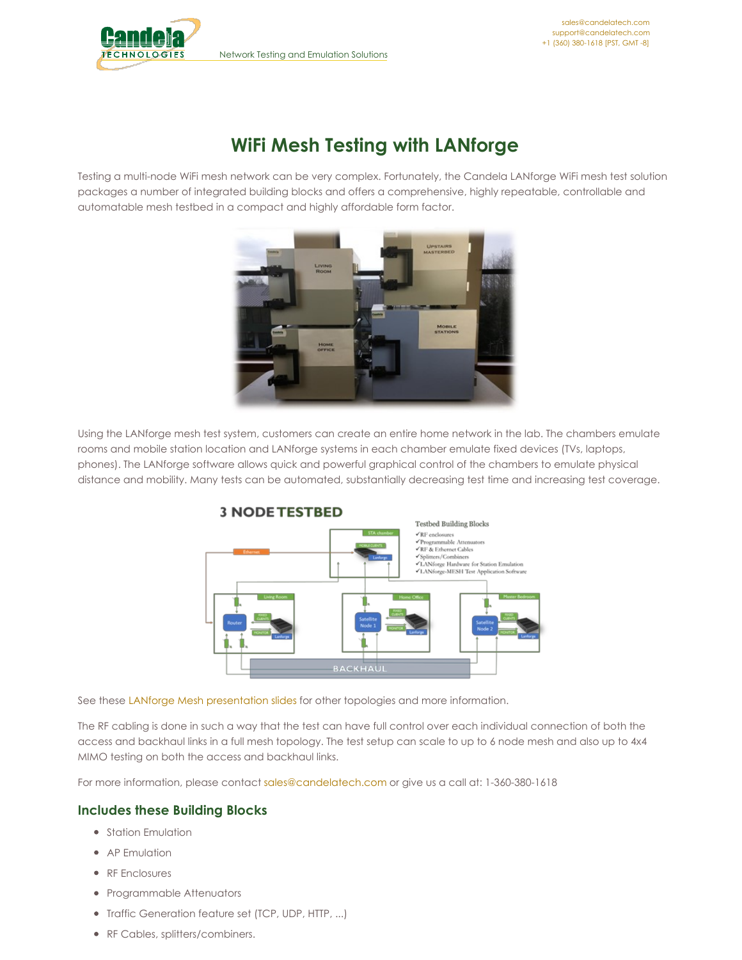Network Testing and Emulation Solutions



# **WiFi Mesh Testing with LANforge**

Testing a multi-node WiFi mesh network can be very complex. Fortunately, the Candela LANforge WiFi mesh test solution packages a number of integrated building blocks and offers a comprehensive, highly repeatable, controllable and automatable mesh testbed in a compact and highly affordable form factor.



Using the LANforge mesh test system, customers can create an entire home network in the lab. The chambers emulate rooms and mobile station location and LANforge systems in each chamber emulate fixed devices (TVs, laptops, phones). The LANforge software allows quick and powerful graphical control of the chambers to emulate physical distance and mobility. Many tests can be automated, substantially decreasing test time and increasing test coverage.



See these LANforge Mesh [presentation](http://www.candelatech.com/pdfs/candela_wifi_mesh_testing_presentation_april_2020.pdf) slides for other topologies and more information.

The RF cabling is done in such a way that the test can have full control over each individual connection of both the access and backhaul links in a full mesh topology. The test setup can scale to up to 6 node mesh and also up to 4x4 MIMO testing on both the access and backhaul links.

For more information, please contact [sales@candelatech.com](mailto:sales@candelatech.com) or give us a call at: 1-360-380-1618

## **Includes these Building Blocks**

- Station Emulation
- AP Emulation
- **•** RF Enclosures
- Programmable Attenuators
- Traffic Generation feature set (TCP, UDP, HTTP, ...)
- RF Cables, splitters/combiners.